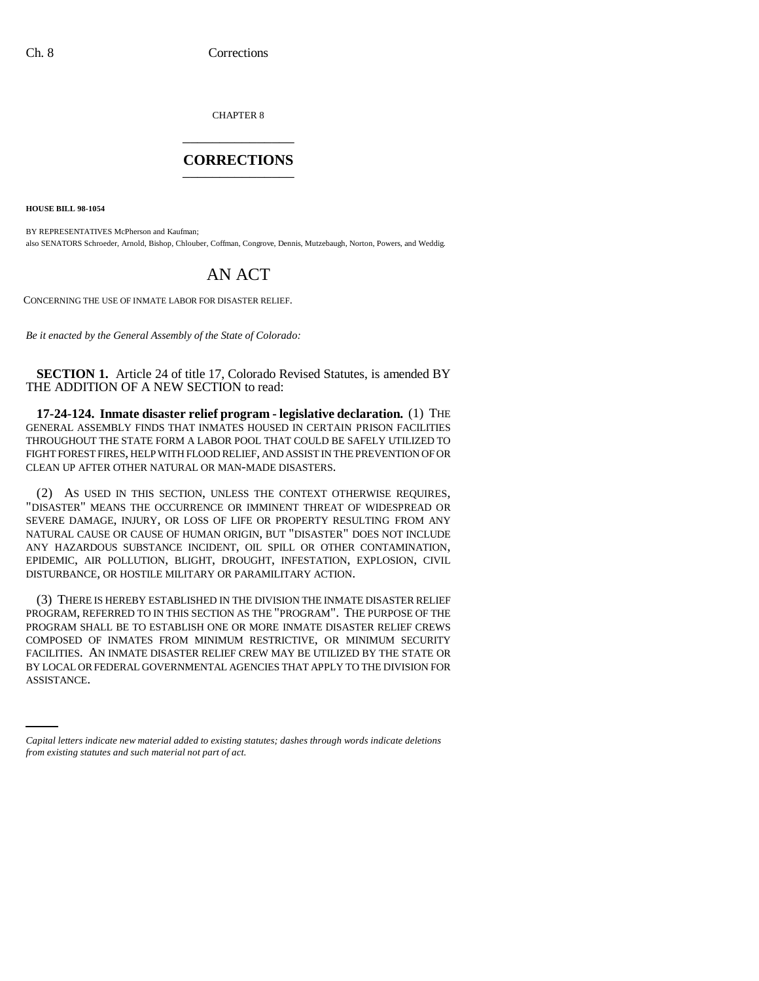CHAPTER 8 \_\_\_\_\_\_\_\_\_\_\_\_\_\_\_

## **CORRECTIONS** \_\_\_\_\_\_\_\_\_\_\_\_\_\_\_

**HOUSE BILL 98-1054**

BY REPRESENTATIVES McPherson and Kaufman; also SENATORS Schroeder, Arnold, Bishop, Chlouber, Coffman, Congrove, Dennis, Mutzebaugh, Norton, Powers, and Weddig.

## AN ACT

CONCERNING THE USE OF INMATE LABOR FOR DISASTER RELIEF.

*Be it enacted by the General Assembly of the State of Colorado:*

**SECTION 1.** Article 24 of title 17, Colorado Revised Statutes, is amended BY THE ADDITION OF A NEW SECTION to read:

**17-24-124. Inmate disaster relief program - legislative declaration.** (1) THE GENERAL ASSEMBLY FINDS THAT INMATES HOUSED IN CERTAIN PRISON FACILITIES THROUGHOUT THE STATE FORM A LABOR POOL THAT COULD BE SAFELY UTILIZED TO FIGHT FOREST FIRES, HELP WITH FLOOD RELIEF, AND ASSIST IN THE PREVENTION OF OR CLEAN UP AFTER OTHER NATURAL OR MAN-MADE DISASTERS.

(2) AS USED IN THIS SECTION, UNLESS THE CONTEXT OTHERWISE REQUIRES, "DISASTER" MEANS THE OCCURRENCE OR IMMINENT THREAT OF WIDESPREAD OR SEVERE DAMAGE, INJURY, OR LOSS OF LIFE OR PROPERTY RESULTING FROM ANY NATURAL CAUSE OR CAUSE OF HUMAN ORIGIN, BUT "DISASTER" DOES NOT INCLUDE ANY HAZARDOUS SUBSTANCE INCIDENT, OIL SPILL OR OTHER CONTAMINATION, EPIDEMIC, AIR POLLUTION, BLIGHT, DROUGHT, INFESTATION, EXPLOSION, CIVIL DISTURBANCE, OR HOSTILE MILITARY OR PARAMILITARY ACTION.

BY LOCAL OR FEDERAL GOVERNMENTAL AGENCIES THAT APPLY TO THE DIVISION FOR (3) THERE IS HEREBY ESTABLISHED IN THE DIVISION THE INMATE DISASTER RELIEF PROGRAM, REFERRED TO IN THIS SECTION AS THE "PROGRAM". THE PURPOSE OF THE PROGRAM SHALL BE TO ESTABLISH ONE OR MORE INMATE DISASTER RELIEF CREWS COMPOSED OF INMATES FROM MINIMUM RESTRICTIVE, OR MINIMUM SECURITY FACILITIES. AN INMATE DISASTER RELIEF CREW MAY BE UTILIZED BY THE STATE OR ASSISTANCE.

*Capital letters indicate new material added to existing statutes; dashes through words indicate deletions from existing statutes and such material not part of act.*